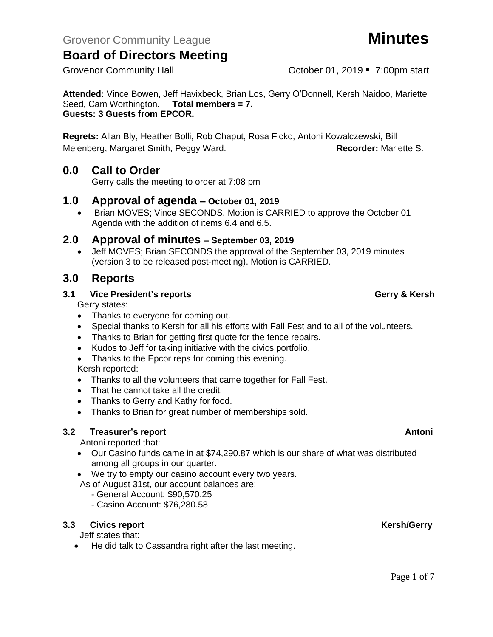**Attended:** Vince Bowen, Jeff Havixbeck, Brian Los, Gerry O'Donnell, Kersh Naidoo, Mariette Seed, Cam Worthington. **Total members = 7. Guests: 3 Guests from EPCOR.** 

**Regrets:** Allan Bly, Heather Bolli, Rob Chaput, Rosa Ficko, Antoni Kowalczewski, Bill Melenberg, Margaret Smith, Peggy Ward. **Recorder:** Mariette S.

# **0.0 Call to Order**

Gerry calls the meeting to order at 7:08 pm

# **1.0 Approval of agenda – October 01, 2019**

• Brian MOVES; Vince SECONDS. Motion is CARRIED to approve the October 01 Agenda with the addition of items 6.4 and 6.5.

# **2.0 Approval of minutes – September 03, 2019**

• Jeff MOVES; Brian SECONDS the approval of the September 03, 2019 minutes (version 3 to be released post-meeting). Motion is CARRIED.

# **3.0 Reports**

## **3.1 Vice President's reports Gerry & Kersh**

Gerry states:

- Thanks to everyone for coming out.
- Special thanks to Kersh for all his efforts with Fall Fest and to all of the volunteers.
- Thanks to Brian for getting first quote for the fence repairs.
- Kudos to Jeff for taking initiative with the civics portfolio.
- Thanks to the Epcor reps for coming this evening.

## Kersh reported:

- Thanks to all the volunteers that came together for Fall Fest.
- That he cannot take all the credit.
- Thanks to Gerry and Kathy for food.
- Thanks to Brian for great number of memberships sold.

## **3.2 Freasurer's report Antonic Structure Antonic Structure Antonic Antonic Antonic Antonic Antonic Antonic Antoni**

Antoni reported that:

- Our Casino funds came in at \$74,290.87 which is our share of what was distributed among all groups in our quarter.
- We try to empty our casino account every two years.

As of August 31st, our account balances are:

- General Account: \$90,570.25
- Casino Account: \$76,280.58

## **3.3** Civics report **Kersh/Gerry**

Jeff states that:

• He did talk to Cassandra right after the last meeting.

# Grovenor Community Hall **Community Hall** Corober 01, 2019 **7:00pm** start

Page 1 of 7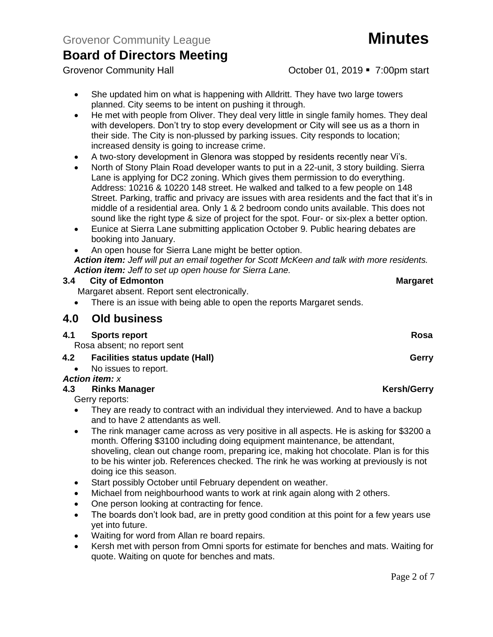Grovenor Community Hall **Community Hall** Corober 01, 2019 **7:00pm** start

- She updated him on what is happening with Alldritt. They have two large towers planned. City seems to be intent on pushing it through.
- He met with people from Oliver. They deal very little in single family homes. They deal with developers. Don't try to stop every development or City will see us as a thorn in their side. The City is non-plussed by parking issues. City responds to location; increased density is going to increase crime.
- A two-story development in Glenora was stopped by residents recently near Vi's.
- North of Stony Plain Road developer wants to put in a 22-unit, 3 story building. Sierra Lane is applying for DC2 zoning. Which gives them permission to do everything. Address: 10216 & 10220 148 street. He walked and talked to a few people on 148 Street. Parking, traffic and privacy are issues with area residents and the fact that it's in middle of a residential area. Only 1 & 2 bedroom condo units available. This does not sound like the right type & size of project for the spot. Four- or six-plex a better option.
- Eunice at Sierra Lane submitting application October 9. Public hearing debates are booking into January.
- An open house for Sierra Lane might be better option.

*Action item: Jeff will put an email together for Scott McKeen and talk with more residents. Action item: Jeff to set up open house for Sierra Lane.*

## **3.4 City of Edmonton Margaret**

Margaret absent. Report sent electronically.

There is an issue with being able to open the reports Margaret sends.

# **4.0 Old business**

## **4.1 Sports report Rosa**

Rosa absent; no report sent

## **4.2 Facilities status update (Hall) Gerry Georgia Community Gerry**

• No issues to report.

# *Action item: x*

## **4.3 Rinks Manager Kersh/Gerry Kersh/Gerry**

Gerry reports:

- They are ready to contract with an individual they interviewed. And to have a backup and to have 2 attendants as well.
- The rink manager came across as very positive in all aspects. He is asking for \$3200 a month. Offering \$3100 including doing equipment maintenance, be attendant, shoveling, clean out change room, preparing ice, making hot chocolate. Plan is for this to be his winter job. References checked. The rink he was working at previously is not doing ice this season.
- Start possibly October until February dependent on weather.
- Michael from neighbourhood wants to work at rink again along with 2 others.
- One person looking at contracting for fence.
- The boards don't look bad, are in pretty good condition at this point for a few years use yet into future.
- Waiting for word from Allan re board repairs.
- Kersh met with person from Omni sports for estimate for benches and mats. Waiting for quote. Waiting on quote for benches and mats.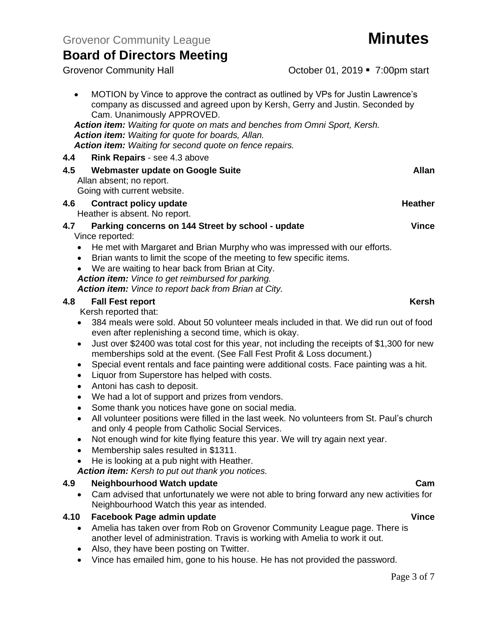Grovenor Community Hall **Community Hall** Corober 01, 2019 **7:00pm** start

| MOTION by Vince to approve the contract as outlined by VPs for Justin Lawrence's<br>$\bullet$<br>company as discussed and agreed upon by Kersh, Gerry and Justin. Seconded by<br>Cam. Unanimously APPROVED.                                                                                                                                                                                                           |                |
|-----------------------------------------------------------------------------------------------------------------------------------------------------------------------------------------------------------------------------------------------------------------------------------------------------------------------------------------------------------------------------------------------------------------------|----------------|
| Action item: Waiting for quote on mats and benches from Omni Sport, Kersh.<br><b>Action item:</b> Waiting for quote for boards, Allan.<br><b>Action item:</b> Waiting for second quote on fence repairs.                                                                                                                                                                                                              |                |
| <b>Rink Repairs - see 4.3 above</b><br>4.4                                                                                                                                                                                                                                                                                                                                                                            |                |
| 4.5<br>Webmaster update on Google Suite<br>Allan absent; no report.<br>Going with current website.                                                                                                                                                                                                                                                                                                                    | Allan          |
| Contract policy update<br>4.6<br>Heather is absent. No report.                                                                                                                                                                                                                                                                                                                                                        | <b>Heather</b> |
| 4.7<br>Parking concerns on 144 Street by school - update<br>Vince reported:<br>He met with Margaret and Brian Murphy who was impressed with our efforts.<br>Brian wants to limit the scope of the meeting to few specific items.<br>$\bullet$<br>We are waiting to hear back from Brian at City.<br><b>Action item:</b> Vince to get reimbursed for parking.<br>Action item: Vince to report back from Brian at City. | <b>Vince</b>   |
| 4.8<br><b>Fall Fest report</b>                                                                                                                                                                                                                                                                                                                                                                                        | <b>Kersh</b>   |

Kersh reported that:

- 384 meals were sold. About 50 volunteer meals included in that. We did run out of food even after replenishing a second time, which is okay.
- Just over \$2400 was total cost for this year, not including the receipts of \$1,300 for new memberships sold at the event. (See Fall Fest Profit & Loss document.)
- Special event rentals and face painting were additional costs. Face painting was a hit.
- Liquor from Superstore has helped with costs.
- Antoni has cash to deposit.
- We had a lot of support and prizes from vendors.
- Some thank you notices have gone on social media.
- All volunteer positions were filled in the last week. No volunteers from St. Paul's church and only 4 people from Catholic Social Services.
- Not enough wind for kite flying feature this year. We will try again next year.
- Membership sales resulted in \$1311.
- He is looking at a pub night with Heather.

*Action item: Kersh to put out thank you notices.*

## **4.9 Neighbourhood Watch update Cam**

• Cam advised that unfortunately we were not able to bring forward any new activities for Neighbourhood Watch this year as intended.

## **4.10 Facebook Page admin update Vince**

- Amelia has taken over from Rob on Grovenor Community League page. There is another level of administration. Travis is working with Amelia to work it out.
- Also, they have been posting on Twitter.
- Vince has emailed him, gone to his house. He has not provided the password.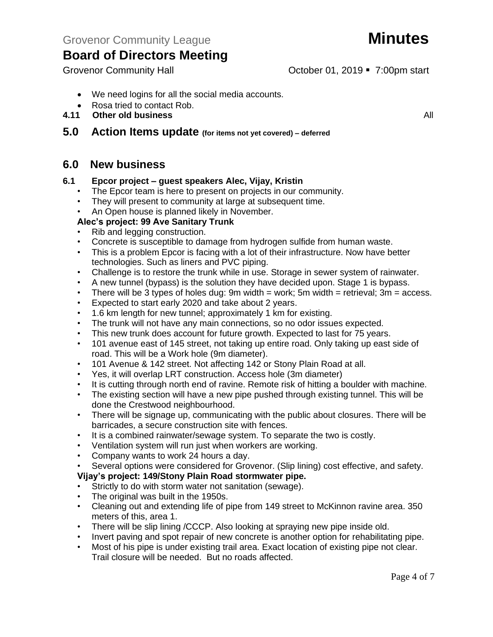Grovenor Community Hall **Community Hall** Corober 01, 2019 **7:00pm** start

- We need logins for all the social media accounts.
- Rosa tried to contact Rob.<br>4.11 Other old business
	- **4.11 Other old business** All

# **5.0 Action Items update (for items not yet covered) – deferred**

# **6.0 New business**

## **6.1 Epcor project – guest speakers Alec, Vijay, Kristin**

- The Epcor team is here to present on projects in our community.
- They will present to community at large at subsequent time.
- An Open house is planned likely in November.

# **Alec's project: 99 Ave Sanitary Trunk**

- Rib and legging construction.
- Concrete is susceptible to damage from hydrogen sulfide from human waste.
- This is a problem Epcor is facing with a lot of their infrastructure. Now have better technologies. Such as liners and PVC piping.
- Challenge is to restore the trunk while in use. Storage in sewer system of rainwater.
- A new tunnel (bypass) is the solution they have decided upon. Stage 1 is bypass.
- There will be 3 types of holes dug: 9m width = work; 5m width = retrieval;  $3m =$  access.
- Expected to start early 2020 and take about 2 years.
- 1.6 km length for new tunnel; approximately 1 km for existing.
- The trunk will not have any main connections, so no odor issues expected.
- This new trunk does account for future growth. Expected to last for 75 years.
- 101 avenue east of 145 street, not taking up entire road. Only taking up east side of road. This will be a Work hole (9m diameter).
- 101 Avenue & 142 street. Not affecting 142 or Stony Plain Road at all.
- Yes, it will overlap LRT construction. Access hole (3m diameter)
- It is cutting through north end of ravine. Remote risk of hitting a boulder with machine.
- The existing section will have a new pipe pushed through existing tunnel. This will be done the Crestwood neighbourhood.
- There will be signage up, communicating with the public about closures. There will be barricades, a secure construction site with fences.
- It is a combined rainwater/sewage system. To separate the two is costly.
- Ventilation system will run just when workers are working.
- Company wants to work 24 hours a day.

• Several options were considered for Grovenor. (Slip lining) cost effective, and safety.

# **Vijay's project: 149/Stony Plain Road stormwater pipe.**

- Strictly to do with storm water not sanitation (sewage).
- The original was built in the 1950s.
- Cleaning out and extending life of pipe from 149 street to McKinnon ravine area. 350 meters of this, area 1.
- There will be slip lining /CCCP. Also looking at spraying new pipe inside old.
- Invert paving and spot repair of new concrete is another option for rehabilitating pipe.
- Most of his pipe is under existing trail area. Exact location of existing pipe not clear. Trail closure will be needed. But no roads affected.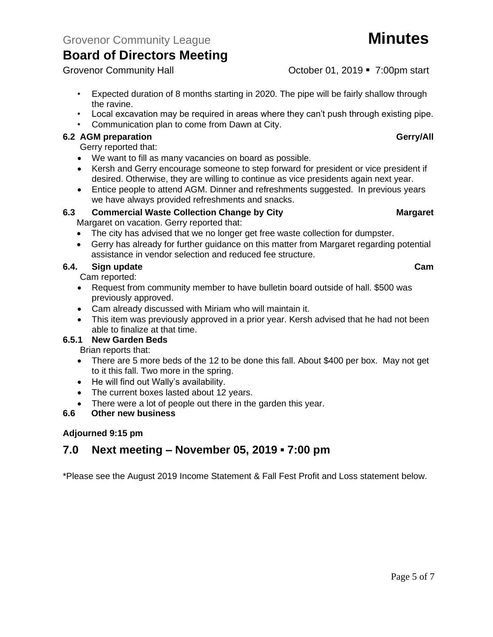Grovenor Community Hall **Community Hall** Corober 01, 2019 **7:00pm** start

- Expected duration of 8 months starting in 2020. The pipe will be fairly shallow through the ravine.
- Local excavation may be required in areas where they can't push through existing pipe.
- Communication plan to come from Dawn at City.

# **6.2 AGM preparation Gerry/All**

Gerry reported that:

- We want to fill as many vacancies on board as possible.
- Kersh and Gerry encourage someone to step forward for president or vice president if desired. Otherwise, they are willing to continue as vice presidents again next year.
- Entice people to attend AGM. Dinner and refreshments suggested. In previous years we have always provided refreshments and snacks.

# **6.3 Commercial Waste Collection Change by City Margaret**

Margaret on vacation. Gerry reported that:

- The city has advised that we no longer get free waste collection for dumpster.
- Gerry has already for further guidance on this matter from Margaret regarding potential assistance in vendor selection and reduced fee structure.

# **6.4. Sign update Cam**

Cam reported:

- Request from community member to have bulletin board outside of hall. \$500 was previously approved.
- Cam already discussed with Miriam who will maintain it.
- This item was previously approved in a prior year. Kersh advised that he had not been able to finalize at that time.

# **6.5.1 New Garden Beds**

Brian reports that:

- There are 5 more beds of the 12 to be done this fall. About \$400 per box. May not get to it this fall. Two more in the spring.
- He will find out Wally's availability.
- The current boxes lasted about 12 years.
- There were a lot of people out there in the garden this year.

## **6.6 Other new business**

## **Adjourned 9:15 pm**

# **7.0 Next meeting – November 05, 2019 ▪ 7:00 pm**

\*Please see the August 2019 Income Statement & Fall Fest Profit and Loss statement below.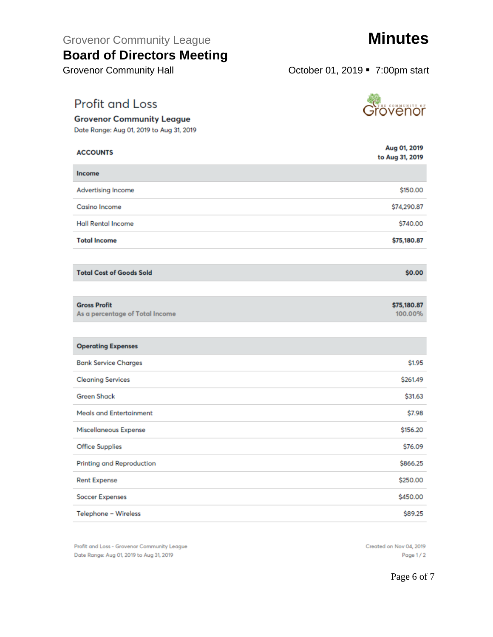Grovenor Community League **Minutes** 

# **Board of Directors Meeting**

**Profit and Loss** 

**Grovenor Community League** Date Range: Aug 01, 2019 to Aug 31, 2019

Grovenor Community Hall **Grovenor Community Hall Community Hall Community Hall Community Hall Community Hall** 

| <b>ACCOUNTS</b>                                        | Aug 01, 2019<br>to Aug 31, 2019 |
|--------------------------------------------------------|---------------------------------|
| Income                                                 |                                 |
| Advertising Income                                     | \$150.00                        |
| Casino Income                                          | \$74,290.87                     |
| <b>Hall Rental Income</b>                              | \$740.00                        |
| <b>Total Income</b>                                    | \$75,180.87                     |
|                                                        |                                 |
| <b>Total Cost of Goods Sold</b>                        | \$0.00                          |
|                                                        |                                 |
| <b>Gross Profit</b><br>As a percentage of Total Income | \$75,180.87<br>100.00%          |
|                                                        |                                 |
| <b>Operating Expenses</b>                              |                                 |
| <b>Bank Service Charges</b>                            | \$1.95                          |
| <b>Cleaning Services</b>                               | \$261.49                        |
| <b>Green Shack</b>                                     | \$31.63                         |
| <b>Meals and Entertainment</b>                         | \$7.98                          |
| Miscellaneous Expense                                  | \$156.20                        |
| <b>Office Supplies</b>                                 | \$76.09                         |
| Printing and Reproduction                              | \$866.25                        |
| <b>Rent Expense</b>                                    | \$250.00                        |
| <b>Soccer Expenses</b>                                 | \$450.00                        |
| Telephone - Wireless                                   | \$89.25                         |

Profit and Loss - Grovenor Community League Date Range: Aug 01, 2019 to Aug 31, 2019

<u>st</u>övenör

Created on Nov 04, 2019 Page 1/2